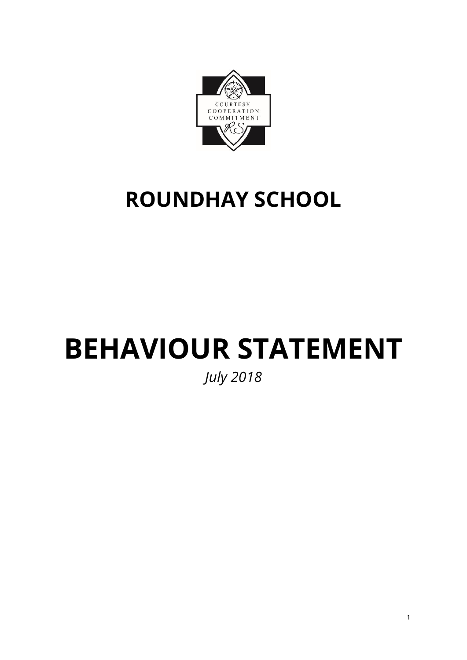

# **ROUNDHAY SCHOOL**

# **BEHAVIOUR STATEMENT**

*July 2018*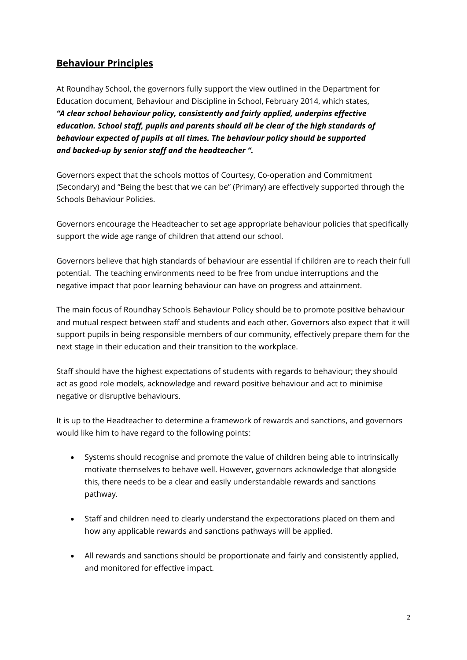### **Behaviour Principles**

At Roundhay School, the governors fully support the view outlined in the Department for Education document, Behaviour and Discipline in School, February 2014, which states, *"A clear school behaviour policy, consistently and fairly applied, underpins effective education. School staff, pupils and parents should all be clear of the high standards of behaviour expected of pupils at all times. The behaviour policy should be supported and backed-up by senior staff and the headteacher ".*

Governors expect that the schools mottos of Courtesy, Co-operation and Commitment (Secondary) and "Being the best that we can be" (Primary) are effectively supported through the Schools Behaviour Policies.

Governors encourage the Headteacher to set age appropriate behaviour policies that specifically support the wide age range of children that attend our school.

Governors believe that high standards of behaviour are essential if children are to reach their full potential. The teaching environments need to be free from undue interruptions and the negative impact that poor learning behaviour can have on progress and attainment.

The main focus of Roundhay Schools Behaviour Policy should be to promote positive behaviour and mutual respect between staff and students and each other. Governors also expect that it will support pupils in being responsible members of our community, effectively prepare them for the next stage in their education and their transition to the workplace.

Staff should have the highest expectations of students with regards to behaviour; they should act as good role models, acknowledge and reward positive behaviour and act to minimise negative or disruptive behaviours.

It is up to the Headteacher to determine a framework of rewards and sanctions, and governors would like him to have regard to the following points:

- Systems should recognise and promote the value of children being able to intrinsically motivate themselves to behave well. However, governors acknowledge that alongside this, there needs to be a clear and easily understandable rewards and sanctions pathway.
- Staff and children need to clearly understand the expectorations placed on them and how any applicable rewards and sanctions pathways will be applied.
- All rewards and sanctions should be proportionate and fairly and consistently applied, and monitored for effective impact.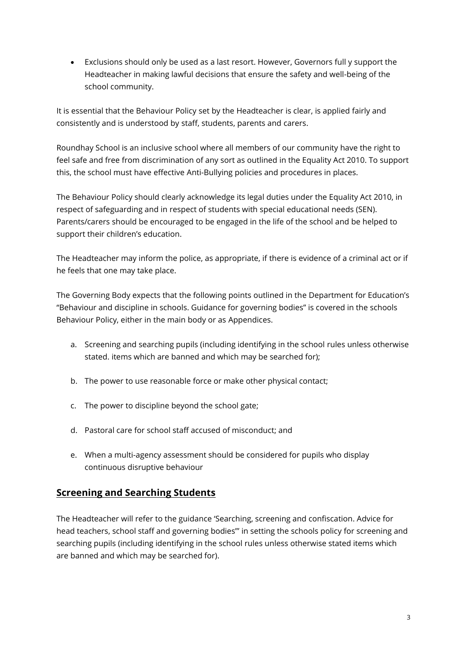Exclusions should only be used as a last resort. However, Governors full y support the Headteacher in making lawful decisions that ensure the safety and well-being of the school community.

It is essential that the Behaviour Policy set by the Headteacher is clear, is applied fairly and consistently and is understood by staff, students, parents and carers.

Roundhay School is an inclusive school where all members of our community have the right to feel safe and free from discrimination of any sort as outlined in the Equality Act 2010. To support this, the school must have effective Anti-Bullying policies and procedures in places.

The Behaviour Policy should clearly acknowledge its legal duties under the Equality Act 2010, in respect of safeguarding and in respect of students with special educational needs (SEN). Parents/carers should be encouraged to be engaged in the life of the school and be helped to support their children's education.

The Headteacher may inform the police, as appropriate, if there is evidence of a criminal act or if he feels that one may take place.

The Governing Body expects that the following points outlined in the Department for Education's "Behaviour and discipline in schools. Guidance for governing bodies" is covered in the schools Behaviour Policy, either in the main body or as Appendices.

- a. Screening and searching pupils (including identifying in the school rules unless otherwise stated. items which are banned and which may be searched for);
- b. The power to use reasonable force or make other physical contact;
- c. The power to discipline beyond the school gate;
- d. Pastoral care for school staff accused of misconduct; and
- e. When a multi-agency assessment should be considered for pupils who display continuous disruptive behaviour

### **Screening and Searching Students**

The Headteacher will refer to the guidance 'Searching, screening and confiscation. Advice for head teachers, school staff and governing bodies"' in setting the schools policy for screening and searching pupils (including identifying in the school rules unless otherwise stated items which are banned and which may be searched for).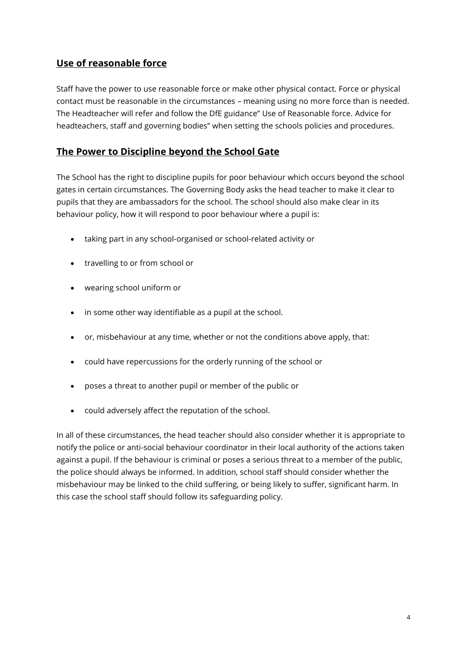#### **Use of reasonable force**

Staff have the power to use reasonable force or make other physical contact. Force or physical contact must be reasonable in the circumstances – meaning using no more force than is needed. The Headteacher will refer and follow the DfE guidance" Use of Reasonable force. Advice for headteachers, staff and governing bodies" when setting the schools policies and procedures.

#### **The Power to Discipline beyond the School Gate**

The School has the right to discipline pupils for poor behaviour which occurs beyond the school gates in certain circumstances. The Governing Body asks the head teacher to make it clear to pupils that they are ambassadors for the school. The school should also make clear in its behaviour policy, how it will respond to poor behaviour where a pupil is:

- taking part in any school-organised or school-related activity or
- travelling to or from school or
- wearing school uniform or
- in some other way identifiable as a pupil at the school.
- or, misbehaviour at any time, whether or not the conditions above apply, that:
- could have repercussions for the orderly running of the school or
- poses a threat to another pupil or member of the public or
- could adversely affect the reputation of the school.

In all of these circumstances, the head teacher should also consider whether it is appropriate to notify the police or anti-social behaviour coordinator in their local authority of the actions taken against a pupil. If the behaviour is criminal or poses a serious threat to a member of the public, the police should always be informed. In addition, school staff should consider whether the misbehaviour may be linked to the child suffering, or being likely to suffer, significant harm. In this case the school staff should follow its safeguarding policy.